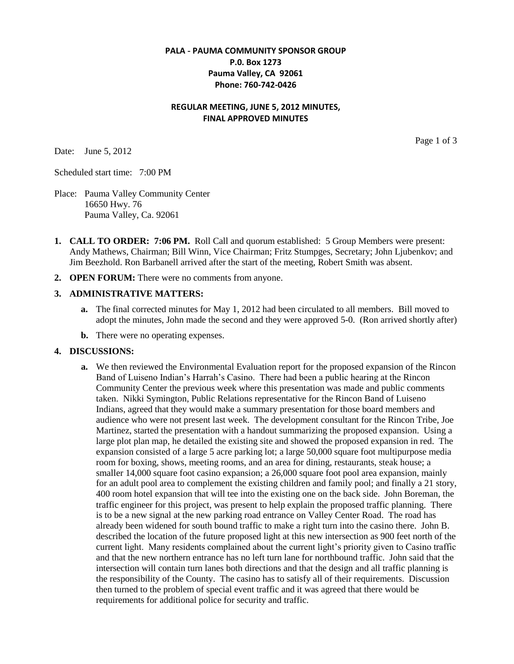#### **PALA - PAUMA COMMUNITY SPONSOR GROUP P.0. Box 1273 Pauma Valley, CA 92061 Phone: 760-742-0426**

#### **REGULAR MEETING, JUNE 5, 2012 MINUTES, FINAL APPROVED MINUTES**

Date: June 5, 2012

Page 1 of 3

Scheduled start time: 7:00 PM

- Place: Pauma Valley Community Center 16650 Hwy. 76 Pauma Valley, Ca. 92061
- **1. CALL TO ORDER: 7:06 PM.** Roll Call and quorum established: 5 Group Members were present: Andy Mathews, Chairman; Bill Winn, Vice Chairman; Fritz Stumpges, Secretary; John Ljubenkov; and Jim Beezhold. Ron Barbanell arrived after the start of the meeting, Robert Smith was absent.
- **2. OPEN FORUM:** There were no comments from anyone.

#### **3. ADMINISTRATIVE MATTERS:**

- **a.** The final corrected minutes for May 1, 2012 had been circulated to all members. Bill moved to adopt the minutes, John made the second and they were approved 5-0. (Ron arrived shortly after)
- **b.** There were no operating expenses.

#### **4. DISCUSSIONS:**

**a.** We then reviewed the Environmental Evaluation report for the proposed expansion of the Rincon Band of Luiseno Indian's Harrah's Casino. There had been a public hearing at the Rincon Community Center the previous week where this presentation was made and public comments taken. Nikki Symington, Public Relations representative for the Rincon Band of Luiseno Indians, agreed that they would make a summary presentation for those board members and audience who were not present last week. The development consultant for the Rincon Tribe, Joe Martinez, started the presentation with a handout summarizing the proposed expansion. Using a large plot plan map, he detailed the existing site and showed the proposed expansion in red. The expansion consisted of a large 5 acre parking lot; a large 50,000 square foot multipurpose media room for boxing, shows, meeting rooms, and an area for dining, restaurants, steak house; a smaller 14,000 square foot casino expansion; a 26,000 square foot pool area expansion, mainly for an adult pool area to complement the existing children and family pool; and finally a 21 story, 400 room hotel expansion that will tee into the existing one on the back side. John Boreman, the traffic engineer for this project, was present to help explain the proposed traffic planning. There is to be a new signal at the new parking road entrance on Valley Center Road. The road has already been widened for south bound traffic to make a right turn into the casino there. John B. described the location of the future proposed light at this new intersection as 900 feet north of the current light. Many residents complained about the current light's priority given to Casino traffic and that the new northern entrance has no left turn lane for northbound traffic. John said that the intersection will contain turn lanes both directions and that the design and all traffic planning is the responsibility of the County. The casino has to satisfy all of their requirements. Discussion then turned to the problem of special event traffic and it was agreed that there would be requirements for additional police for security and traffic.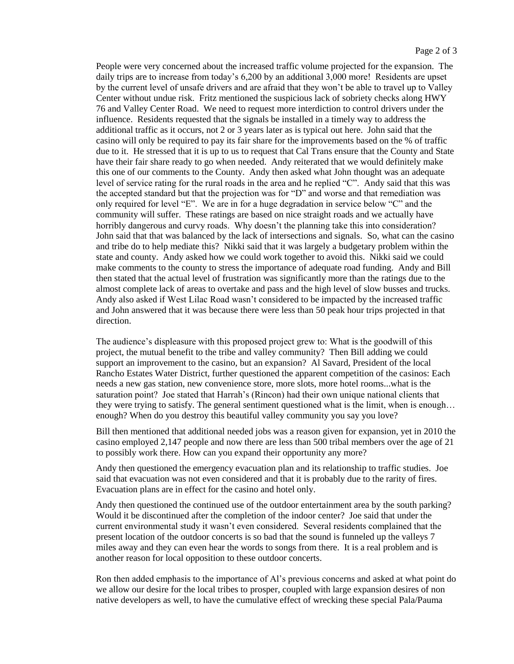People were very concerned about the increased traffic volume projected for the expansion. The daily trips are to increase from today's 6,200 by an additional 3,000 more! Residents are upset by the current level of unsafe drivers and are afraid that they won't be able to travel up to Valley Center without undue risk. Fritz mentioned the suspicious lack of sobriety checks along HWY 76 and Valley Center Road. We need to request more interdiction to control drivers under the influence. Residents requested that the signals be installed in a timely way to address the additional traffic as it occurs, not 2 or 3 years later as is typical out here. John said that the casino will only be required to pay its fair share for the improvements based on the % of traffic due to it. He stressed that it is up to us to request that Cal Trans ensure that the County and State have their fair share ready to go when needed. Andy reiterated that we would definitely make this one of our comments to the County. Andy then asked what John thought was an adequate level of service rating for the rural roads in the area and he replied "C". Andy said that this was the accepted standard but that the projection was for "D" and worse and that remediation was only required for level "E". We are in for a huge degradation in service below "C" and the community will suffer. These ratings are based on nice straight roads and we actually have horribly dangerous and curvy roads. Why doesn't the planning take this into consideration? John said that that was balanced by the lack of intersections and signals. So, what can the casino and tribe do to help mediate this? Nikki said that it was largely a budgetary problem within the state and county. Andy asked how we could work together to avoid this. Nikki said we could make comments to the county to stress the importance of adequate road funding. Andy and Bill then stated that the actual level of frustration was significantly more than the ratings due to the almost complete lack of areas to overtake and pass and the high level of slow busses and trucks. Andy also asked if West Lilac Road wasn't considered to be impacted by the increased traffic and John answered that it was because there were less than 50 peak hour trips projected in that direction.

The audience's displeasure with this proposed project grew to: What is the goodwill of this project, the mutual benefit to the tribe and valley community? Then Bill adding we could support an improvement to the casino, but an expansion? Al Savard, President of the local Rancho Estates Water District, further questioned the apparent competition of the casinos: Each needs a new gas station, new convenience store, more slots, more hotel rooms...what is the saturation point? Joe stated that Harrah's (Rincon) had their own unique national clients that they were trying to satisfy. The general sentiment questioned what is the limit, when is enough… enough? When do you destroy this beautiful valley community you say you love?

Bill then mentioned that additional needed jobs was a reason given for expansion, yet in 2010 the casino employed 2,147 people and now there are less than 500 tribal members over the age of 21 to possibly work there. How can you expand their opportunity any more?

Andy then questioned the emergency evacuation plan and its relationship to traffic studies. Joe said that evacuation was not even considered and that it is probably due to the rarity of fires. Evacuation plans are in effect for the casino and hotel only.

Andy then questioned the continued use of the outdoor entertainment area by the south parking? Would it be discontinued after the completion of the indoor center? Joe said that under the current environmental study it wasn't even considered. Several residents complained that the present location of the outdoor concerts is so bad that the sound is funneled up the valleys 7 miles away and they can even hear the words to songs from there. It is a real problem and is another reason for local opposition to these outdoor concerts.

Ron then added emphasis to the importance of Al's previous concerns and asked at what point do we allow our desire for the local tribes to prosper, coupled with large expansion desires of non native developers as well, to have the cumulative effect of wrecking these special Pala/Pauma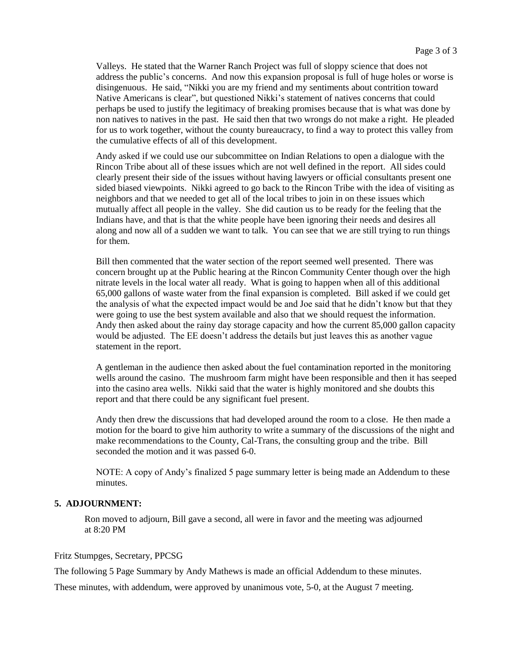Valleys. He stated that the Warner Ranch Project was full of sloppy science that does not address the public's concerns. And now this expansion proposal is full of huge holes or worse is disingenuous. He said, "Nikki you are my friend and my sentiments about contrition toward Native Americans is clear", but questioned Nikki's statement of natives concerns that could perhaps be used to justify the legitimacy of breaking promises because that is what was done by non natives to natives in the past. He said then that two wrongs do not make a right. He pleaded for us to work together, without the county bureaucracy, to find a way to protect this valley from the cumulative effects of all of this development.

Andy asked if we could use our subcommittee on Indian Relations to open a dialogue with the Rincon Tribe about all of these issues which are not well defined in the report. All sides could clearly present their side of the issues without having lawyers or official consultants present one sided biased viewpoints. Nikki agreed to go back to the Rincon Tribe with the idea of visiting as neighbors and that we needed to get all of the local tribes to join in on these issues which mutually affect all people in the valley. She did caution us to be ready for the feeling that the Indians have, and that is that the white people have been ignoring their needs and desires all along and now all of a sudden we want to talk. You can see that we are still trying to run things for them.

Bill then commented that the water section of the report seemed well presented. There was concern brought up at the Public hearing at the Rincon Community Center though over the high nitrate levels in the local water all ready. What is going to happen when all of this additional 65,000 gallons of waste water from the final expansion is completed. Bill asked if we could get the analysis of what the expected impact would be and Joe said that he didn't know but that they were going to use the best system available and also that we should request the information. Andy then asked about the rainy day storage capacity and how the current 85,000 gallon capacity would be adjusted. The EE doesn't address the details but just leaves this as another vague statement in the report.

A gentleman in the audience then asked about the fuel contamination reported in the monitoring wells around the casino. The mushroom farm might have been responsible and then it has seeped into the casino area wells. Nikki said that the water is highly monitored and she doubts this report and that there could be any significant fuel present.

Andy then drew the discussions that had developed around the room to a close. He then made a motion for the board to give him authority to write a summary of the discussions of the night and make recommendations to the County, Cal-Trans, the consulting group and the tribe. Bill seconded the motion and it was passed 6-0.

NOTE: A copy of Andy's finalized 5 page summary letter is being made an Addendum to these minutes.

#### **5. ADJOURNMENT:**

 Ron moved to adjourn, Bill gave a second, all were in favor and the meeting was adjourned at 8:20 PM

Fritz Stumpges, Secretary, PPCSG

The following 5 Page Summary by Andy Mathews is made an official Addendum to these minutes.

These minutes, with addendum, were approved by unanimous vote, 5-0, at the August 7 meeting.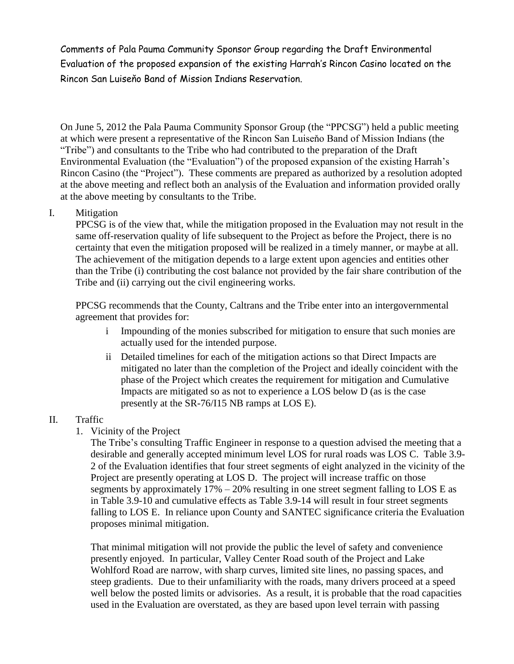Comments of Pala Pauma Community Sponsor Group regarding the Draft Environmental Evaluation of the proposed expansion of the existing Harrah's Rincon Casino located on the Rincon San Luiseňo Band of Mission Indians Reservation.

On June 5, 2012 the Pala Pauma Community Sponsor Group (the "PPCSG") held a public meeting at which were present a representative of the Rincon San Luiseňo Band of Mission Indians (the "Tribe") and consultants to the Tribe who had contributed to the preparation of the Draft Environmental Evaluation (the "Evaluation") of the proposed expansion of the existing Harrah's Rincon Casino (the "Project"). These comments are prepared as authorized by a resolution adopted at the above meeting and reflect both an analysis of the Evaluation and information provided orally at the above meeting by consultants to the Tribe.

## I. Mitigation

PPCSG is of the view that, while the mitigation proposed in the Evaluation may not result in the same off-reservation quality of life subsequent to the Project as before the Project, there is no certainty that even the mitigation proposed will be realized in a timely manner, or maybe at all. The achievement of the mitigation depends to a large extent upon agencies and entities other than the Tribe (i) contributing the cost balance not provided by the fair share contribution of the Tribe and (ii) carrying out the civil engineering works.

PPCSG recommends that the County, Caltrans and the Tribe enter into an intergovernmental agreement that provides for:

- i Impounding of the monies subscribed for mitigation to ensure that such monies are actually used for the intended purpose.
- ii Detailed timelines for each of the mitigation actions so that Direct Impacts are mitigated no later than the completion of the Project and ideally coincident with the phase of the Project which creates the requirement for mitigation and Cumulative Impacts are mitigated so as not to experience a LOS below D (as is the case presently at the SR-76/I15 NB ramps at LOS E).

## II. Traffic

1. Vicinity of the Project

The Tribe's consulting Traffic Engineer in response to a question advised the meeting that a desirable and generally accepted minimum level LOS for rural roads was LOS C. Table 3.9- 2 of the Evaluation identifies that four street segments of eight analyzed in the vicinity of the Project are presently operating at LOS D. The project will increase traffic on those segments by approximately  $17\% - 20\%$  resulting in one street segment falling to LOS E as in Table 3.9-10 and cumulative effects as Table 3.9-14 will result in four street segments falling to LOS E. In reliance upon County and SANTEC significance criteria the Evaluation proposes minimal mitigation.

That minimal mitigation will not provide the public the level of safety and convenience presently enjoyed. In particular, Valley Center Road south of the Project and Lake Wohlford Road are narrow, with sharp curves, limited site lines, no passing spaces, and steep gradients. Due to their unfamiliarity with the roads, many drivers proceed at a speed well below the posted limits or advisories. As a result, it is probable that the road capacities used in the Evaluation are overstated, as they are based upon level terrain with passing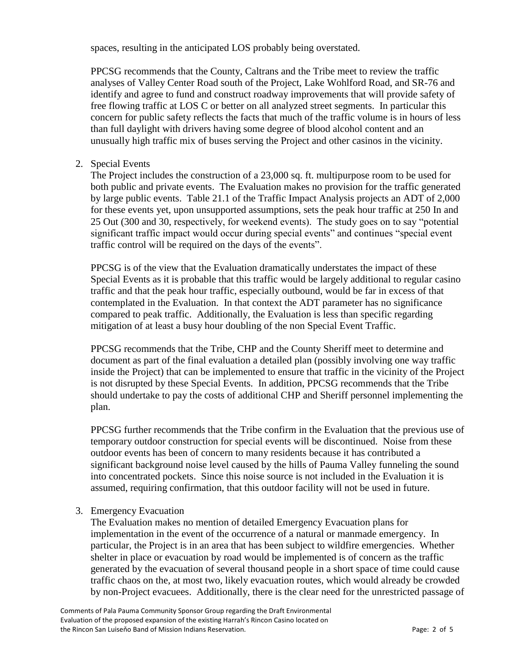spaces, resulting in the anticipated LOS probably being overstated.

PPCSG recommends that the County, Caltrans and the Tribe meet to review the traffic analyses of Valley Center Road south of the Project, Lake Wohlford Road, and SR-76 and identify and agree to fund and construct roadway improvements that will provide safety of free flowing traffic at LOS C or better on all analyzed street segments. In particular this concern for public safety reflects the facts that much of the traffic volume is in hours of less than full daylight with drivers having some degree of blood alcohol content and an unusually high traffic mix of buses serving the Project and other casinos in the vicinity.

2. Special Events

The Project includes the construction of a 23,000 sq. ft. multipurpose room to be used for both public and private events. The Evaluation makes no provision for the traffic generated by large public events. Table 21.1 of the Traffic Impact Analysis projects an ADT of 2,000 for these events yet, upon unsupported assumptions, sets the peak hour traffic at 250 In and 25 Out (300 and 30, respectively, for weekend events). The study goes on to say "potential significant traffic impact would occur during special events" and continues "special event traffic control will be required on the days of the events".

PPCSG is of the view that the Evaluation dramatically understates the impact of these Special Events as it is probable that this traffic would be largely additional to regular casino traffic and that the peak hour traffic, especially outbound, would be far in excess of that contemplated in the Evaluation. In that context the ADT parameter has no significance compared to peak traffic. Additionally, the Evaluation is less than specific regarding mitigation of at least a busy hour doubling of the non Special Event Traffic.

PPCSG recommends that the Tribe, CHP and the County Sheriff meet to determine and document as part of the final evaluation a detailed plan (possibly involving one way traffic inside the Project) that can be implemented to ensure that traffic in the vicinity of the Project is not disrupted by these Special Events. In addition, PPCSG recommends that the Tribe should undertake to pay the costs of additional CHP and Sheriff personnel implementing the plan.

PPCSG further recommends that the Tribe confirm in the Evaluation that the previous use of temporary outdoor construction for special events will be discontinued. Noise from these outdoor events has been of concern to many residents because it has contributed a significant background noise level caused by the hills of Pauma Valley funneling the sound into concentrated pockets. Since this noise source is not included in the Evaluation it is assumed, requiring confirmation, that this outdoor facility will not be used in future.

## 3. Emergency Evacuation

The Evaluation makes no mention of detailed Emergency Evacuation plans for implementation in the event of the occurrence of a natural or manmade emergency. In particular, the Project is in an area that has been subject to wildfire emergencies. Whether shelter in place or evacuation by road would be implemented is of concern as the traffic generated by the evacuation of several thousand people in a short space of time could cause traffic chaos on the, at most two, likely evacuation routes, which would already be crowded by non-Project evacuees. Additionally, there is the clear need for the unrestricted passage of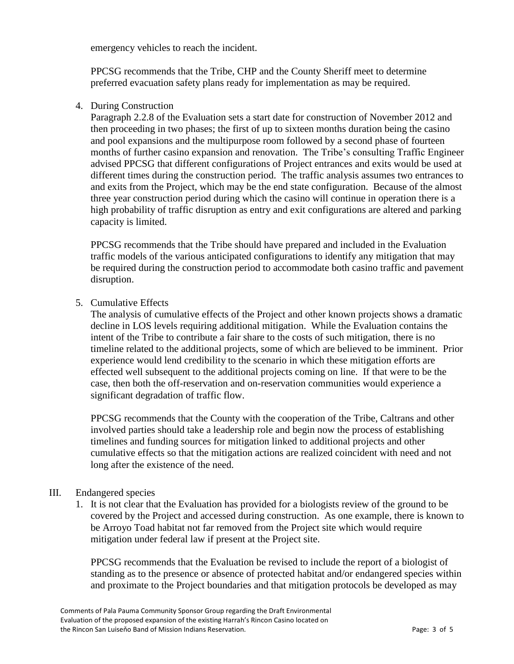emergency vehicles to reach the incident.

PPCSG recommends that the Tribe, CHP and the County Sheriff meet to determine preferred evacuation safety plans ready for implementation as may be required.

4. During Construction

Paragraph 2.2.8 of the Evaluation sets a start date for construction of November 2012 and then proceeding in two phases; the first of up to sixteen months duration being the casino and pool expansions and the multipurpose room followed by a second phase of fourteen months of further casino expansion and renovation. The Tribe's consulting Traffic Engineer advised PPCSG that different configurations of Project entrances and exits would be used at different times during the construction period. The traffic analysis assumes two entrances to and exits from the Project, which may be the end state configuration. Because of the almost three year construction period during which the casino will continue in operation there is a high probability of traffic disruption as entry and exit configurations are altered and parking capacity is limited.

PPCSG recommends that the Tribe should have prepared and included in the Evaluation traffic models of the various anticipated configurations to identify any mitigation that may be required during the construction period to accommodate both casino traffic and pavement disruption.

5. Cumulative Effects

The analysis of cumulative effects of the Project and other known projects shows a dramatic decline in LOS levels requiring additional mitigation. While the Evaluation contains the intent of the Tribe to contribute a fair share to the costs of such mitigation, there is no timeline related to the additional projects, some of which are believed to be imminent. Prior experience would lend credibility to the scenario in which these mitigation efforts are effected well subsequent to the additional projects coming on line. If that were to be the case, then both the off-reservation and on-reservation communities would experience a significant degradation of traffic flow.

PPCSG recommends that the County with the cooperation of the Tribe, Caltrans and other involved parties should take a leadership role and begin now the process of establishing timelines and funding sources for mitigation linked to additional projects and other cumulative effects so that the mitigation actions are realized coincident with need and not long after the existence of the need.

## III. Endangered species

1. It is not clear that the Evaluation has provided for a biologists review of the ground to be covered by the Project and accessed during construction. As one example, there is known to be Arroyo Toad habitat not far removed from the Project site which would require mitigation under federal law if present at the Project site.

PPCSG recommends that the Evaluation be revised to include the report of a biologist of standing as to the presence or absence of protected habitat and/or endangered species within and proximate to the Project boundaries and that mitigation protocols be developed as may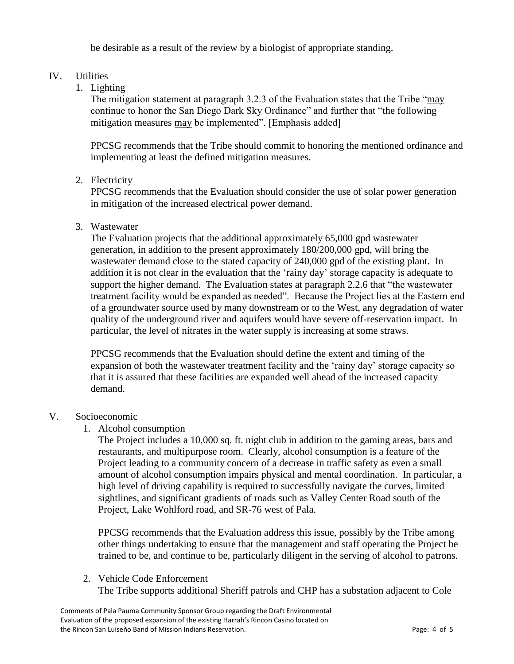be desirable as a result of the review by a biologist of appropriate standing.

# IV. Utilities

1. Lighting

The mitigation statement at paragraph 3.2.3 of the Evaluation states that the Tribe "may continue to honor the San Diego Dark Sky Ordinance" and further that "the following mitigation measures may be implemented". [Emphasis added]

PPCSG recommends that the Tribe should commit to honoring the mentioned ordinance and implementing at least the defined mitigation measures.

# 2. Electricity

PPCSG recommends that the Evaluation should consider the use of solar power generation in mitigation of the increased electrical power demand.

## 3. Wastewater

The Evaluation projects that the additional approximately 65,000 gpd wastewater generation, in addition to the present approximately 180/200,000 gpd, will bring the wastewater demand close to the stated capacity of 240,000 gpd of the existing plant. In addition it is not clear in the evaluation that the 'rainy day' storage capacity is adequate to support the higher demand. The Evaluation states at paragraph 2.2.6 that "the wastewater treatment facility would be expanded as needed". Because the Project lies at the Eastern end of a groundwater source used by many downstream or to the West, any degradation of water quality of the underground river and aquifers would have severe off-reservation impact. In particular, the level of nitrates in the water supply is increasing at some straws.

PPCSG recommends that the Evaluation should define the extent and timing of the expansion of both the wastewater treatment facility and the 'rainy day' storage capacity so that it is assured that these facilities are expanded well ahead of the increased capacity demand.

## V. Socioeconomic

1. Alcohol consumption

The Project includes a 10,000 sq. ft. night club in addition to the gaming areas, bars and restaurants, and multipurpose room. Clearly, alcohol consumption is a feature of the Project leading to a community concern of a decrease in traffic safety as even a small amount of alcohol consumption impairs physical and mental coordination. In particular, a high level of driving capability is required to successfully navigate the curves, limited sightlines, and significant gradients of roads such as Valley Center Road south of the Project, Lake Wohlford road, and SR-76 west of Pala.

PPCSG recommends that the Evaluation address this issue, possibly by the Tribe among other things undertaking to ensure that the management and staff operating the Project be trained to be, and continue to be, particularly diligent in the serving of alcohol to patrons.

## 2. Vehicle Code Enforcement

The Tribe supports additional Sheriff patrols and CHP has a substation adjacent to Cole